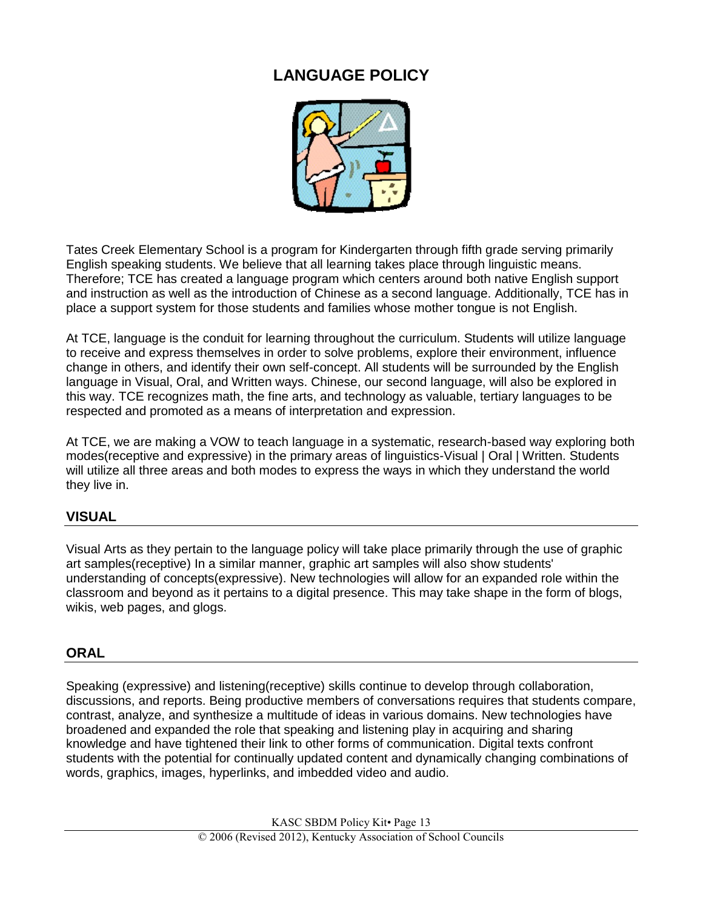# **LANGUAGE POLICY**



Tates Creek Elementary School is a program for Kindergarten through fifth grade serving primarily English speaking students. We believe that all learning takes place through linguistic means. Therefore; TCE has created a language program which centers around both native English support and instruction as well as the introduction of Chinese as a second language. Additionally, TCE has in place a support system for those students and families whose mother tongue is not English.

At TCE, language is the conduit for learning throughout the curriculum. Students will utilize language to receive and express themselves in order to solve problems, explore their environment, influence change in others, and identify their own self-concept. All students will be surrounded by the English language in Visual, Oral, and Written ways. Chinese, our second language, will also be explored in this way. TCE recognizes math, the fine arts, and technology as valuable, tertiary languages to be respected and promoted as a means of interpretation and expression.

At TCE, we are making a VOW to teach language in a systematic, research-based way exploring both modes(receptive and expressive) in the primary areas of linguistics-Visual | Oral | Written. Students will utilize all three areas and both modes to express the ways in which they understand the world they live in.

## **VISUAL**

Visual Arts as they pertain to the language policy will take place primarily through the use of graphic art samples(receptive) In a similar manner, graphic art samples will also show students' understanding of concepts(expressive). New technologies will allow for an expanded role within the classroom and beyond as it pertains to a digital presence. This may take shape in the form of blogs, wikis, web pages, and glogs.

### **ORAL**

Speaking (expressive) and listening(receptive) skills continue to develop through collaboration, discussions, and reports. Being productive members of conversations requires that students compare, contrast, analyze, and synthesize a multitude of ideas in various domains. New technologies have broadened and expanded the role that speaking and listening play in acquiring and sharing knowledge and have tightened their link to other forms of communication. Digital texts confront students with the potential for continually updated content and dynamically changing combinations of words, graphics, images, hyperlinks, and imbedded video and audio.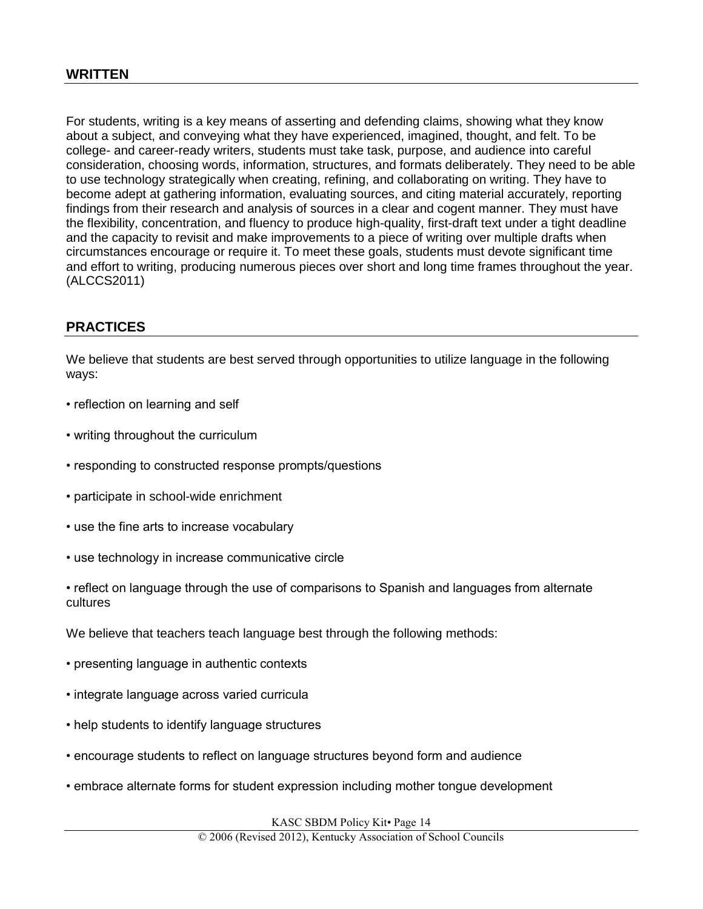For students, writing is a key means of asserting and defending claims, showing what they know about a subject, and conveying what they have experienced, imagined, thought, and felt. To be college- and career-ready writers, students must take task, purpose, and audience into careful consideration, choosing words, information, structures, and formats deliberately. They need to be able to use technology strategically when creating, refining, and collaborating on writing. They have to become adept at gathering information, evaluating sources, and citing material accurately, reporting findings from their research and analysis of sources in a clear and cogent manner. They must have the flexibility, concentration, and fluency to produce high-quality, first-draft text under a tight deadline and the capacity to revisit and make improvements to a piece of writing over multiple drafts when circumstances encourage or require it. To meet these goals, students must devote significant time and effort to writing, producing numerous pieces over short and long time frames throughout the year. (ALCCS2011)

#### **PRACTICES**

We believe that students are best served through opportunities to utilize language in the following ways:

- reflection on learning and self
- writing throughout the curriculum
- responding to constructed response prompts/questions
- participate in school-wide enrichment
- use the fine arts to increase vocabulary
- use technology in increase communicative circle
- reflect on language through the use of comparisons to Spanish and languages from alternate cultures
- We believe that teachers teach language best through the following methods:
- presenting language in authentic contexts
- integrate language across varied curricula
- help students to identify language structures
- encourage students to reflect on language structures beyond form and audience
- embrace alternate forms for student expression including mother tongue development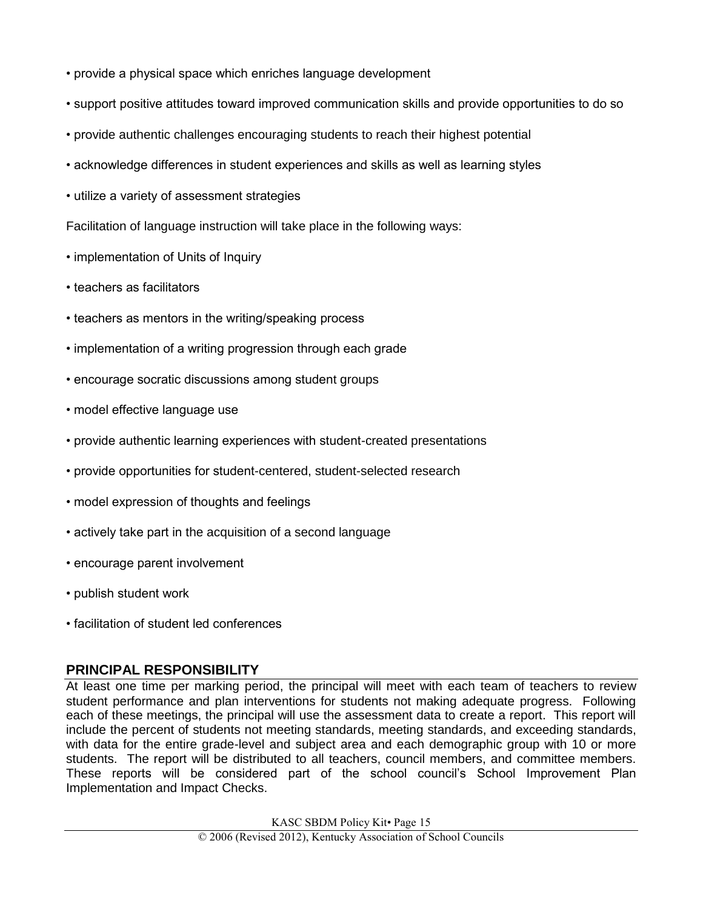- provide a physical space which enriches language development
- support positive attitudes toward improved communication skills and provide opportunities to do so
- provide authentic challenges encouraging students to reach their highest potential
- acknowledge differences in student experiences and skills as well as learning styles
- utilize a variety of assessment strategies

Facilitation of language instruction will take place in the following ways:

- implementation of Units of Inquiry
- teachers as facilitators
- teachers as mentors in the writing/speaking process
- implementation of a writing progression through each grade
- encourage socratic discussions among student groups
- model effective language use
- provide authentic learning experiences with student-created presentations
- provide opportunities for student-centered, student-selected research
- model expression of thoughts and feelings
- actively take part in the acquisition of a second language
- encourage parent involvement
- publish student work
- facilitation of student led conferences

### **PRINCIPAL RESPONSIBILITY**

At least one time per marking period, the principal will meet with each team of teachers to review student performance and plan interventions for students not making adequate progress. Following each of these meetings, the principal will use the assessment data to create a report. This report will include the percent of students not meeting standards, meeting standards, and exceeding standards, with data for the entire grade-level and subject area and each demographic group with 10 or more students. The report will be distributed to all teachers, council members, and committee members. These reports will be considered part of the school council's School Improvement Plan Implementation and Impact Checks.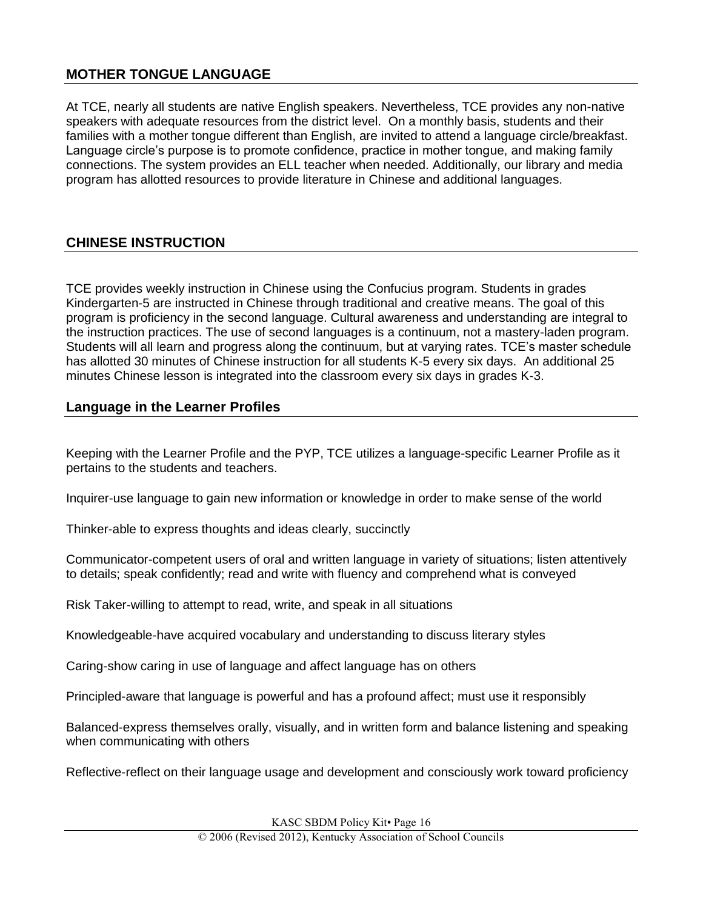### **MOTHER TONGUE LANGUAGE**

At TCE, nearly all students are native English speakers. Nevertheless, TCE provides any non-native speakers with adequate resources from the district level. On a monthly basis, students and their families with a mother tongue different than English, are invited to attend a language circle/breakfast. Language circle's purpose is to promote confidence, practice in mother tongue, and making family connections. The system provides an ELL teacher when needed. Additionally, our library and media program has allotted resources to provide literature in Chinese and additional languages.

### **CHINESE INSTRUCTION**

TCE provides weekly instruction in Chinese using the Confucius program. Students in grades Kindergarten-5 are instructed in Chinese through traditional and creative means. The goal of this program is proficiency in the second language. Cultural awareness and understanding are integral to the instruction practices. The use of second languages is a continuum, not a mastery-laden program. Students will all learn and progress along the continuum, but at varying rates. TCE's master schedule has allotted 30 minutes of Chinese instruction for all students K-5 every six days. An additional 25 minutes Chinese lesson is integrated into the classroom every six days in grades K-3.

#### **Language in the Learner Profiles**

Keeping with the Learner Profile and the PYP, TCE utilizes a language-specific Learner Profile as it pertains to the students and teachers.

Inquirer-use language to gain new information or knowledge in order to make sense of the world

Thinker-able to express thoughts and ideas clearly, succinctly

Communicator-competent users of oral and written language in variety of situations; listen attentively to details; speak confidently; read and write with fluency and comprehend what is conveyed

Risk Taker-willing to attempt to read, write, and speak in all situations

Knowledgeable-have acquired vocabulary and understanding to discuss literary styles

Caring-show caring in use of language and affect language has on others

Principled-aware that language is powerful and has a profound affect; must use it responsibly

Balanced-express themselves orally, visually, and in written form and balance listening and speaking when communicating with others

Reflective-reflect on their language usage and development and consciously work toward proficiency